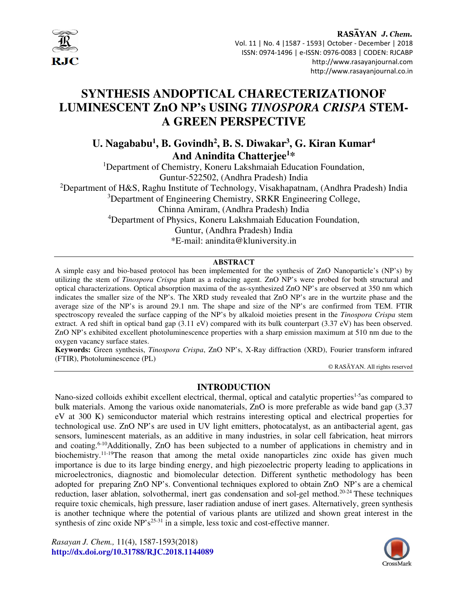

## RASAYAN J. Chem. Vol. 11 | No. 4 |1587 - 1593| October - December | 2018

 ISSN: 0974-1496 | e-ISSN: 0976-0083 | CODEN: RJCABP http://www.rasayanjournal.com http://www.rasayanjournal.co.in

# **SYNTHESIS ANDOPTICAL CHARECTERIZATIONOF LUMINESCENT ZnO NP's USING** *TINOSPORA CRISPA* **STEM-A GREEN PERSPECTIVE**

**U. Nagababu<sup>1</sup> , B. Govindh<sup>2</sup> , B. S. Diwakar<sup>3</sup> , G. Kiran Kumar<sup>4</sup> And Anindita Chatterjee<sup>1</sup>\*** 

<sup>1</sup>Department of Chemistry, Koneru Lakshmaiah Education Foundation, Guntur-522502, (Andhra Pradesh) India <sup>2</sup>Department of H&S, Raghu Institute of Technology, Visakhapatnam, (Andhra Pradesh) India <sup>3</sup>Department of Engineering Chemistry, SRKR Engineering College, Chinna Amiram, (Andhra Pradesh) India <sup>4</sup>Department of Physics, Koneru Lakshmaiah Education Foundation, Guntur, (Andhra Pradesh) India \*E-mail: anindita@kluniversity.in

### **ABSTRACT**

A simple easy and bio-based protocol has been implemented for the synthesis of ZnO Nanoparticle's (NP's) by utilizing the stem of *Tinospora Crispa* plant as a reducing agent. ZnO NP's were probed for both structural and optical characterizations. Optical absorption maxima of the as-synthesized ZnO NP's are observed at 350 nm which indicates the smaller size of the NP's. The XRD study revealed that ZnO NP's are in the wurtzite phase and the average size of the NP's is around 29.1 nm. The shape and size of the NP's are confirmed from TEM. FTIR spectroscopy revealed the surface capping of the NP's by alkaloid moieties present in the *Tinospora Crispa* stem extract. A red shift in optical band gap (3.11 eV) compared with its bulk counterpart (3.37 eV) has been observed. ZnO NP's exhibited excellent photoluminescence properties with a sharp emission maximum at 510 nm due to the oxygen vacancy surface states.

**Keywords:** Green synthesis, *Tinospora Crispa*, ZnO NP's, X-Ray diffraction (XRD), Fourier transform infrared (FTIR), Photoluminescence (PL)

© RASĀYAN. All rights reserved

## **INTRODUCTION**

Nano-sized colloids exhibit excellent electrical, thermal, optical and catalytic properties<sup>1-5</sup>as compared to bulk materials. Among the various oxide nanomaterials, ZnO is more preferable as wide band gap (3.37 eV at 300 K) semiconductor material which restrains interesting optical and electrical properties for technological use. ZnO NP's are used in UV light emitters, photocatalyst, as an antibacterial agent, gas sensors, luminescent materials, as an additive in many industries, in solar cell fabrication, heat mirrors and coating.<sup>6-10</sup>Additionally, ZnO has been subjected to a number of applications in chemistry and in biochemistry.<sup>11-19</sup>The reason that among the metal oxide nanoparticles zinc oxide has given much importance is due to its large binding energy, and high piezoelectric property leading to applications in microelectronics, diagnostic and biomolecular detection. Different synthetic methodology has been adopted for preparing ZnO NP's. Conventional techniques explored to obtain ZnO NP's are a chemical reduction, laser ablation, solvothermal, inert gas condensation and sol-gel method.<sup>20-24</sup> These techniques require toxic chemicals, high pressure, laser radiation anduse of inert gases. Alternatively, green synthesis is another technique where the potential of various plants are utilized and shown great interest in the synthesis of zinc oxide  $NP's^{25-31}$  in a simple, less toxic and cost-effective manner.

*Rasayan J. Chem.,* 11(4), 1587-1593(2018) **http://dx.doi.org/10.31788/RJC.2018.1144089**

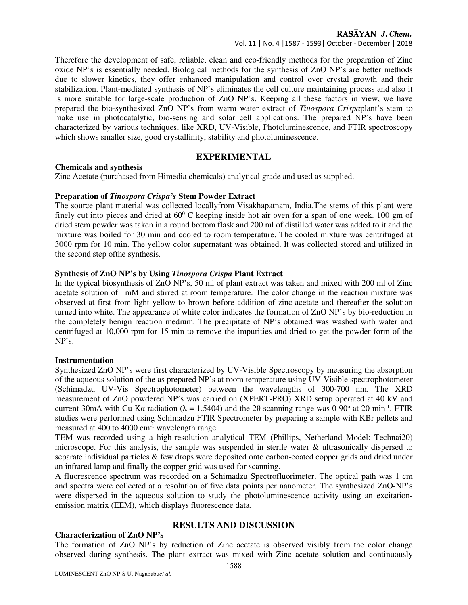## RASAYAN J. Chem.

Vol. 11 | No. 4 |1587 - 1593| October - December | 2018

Therefore the development of safe, reliable, clean and eco-friendly methods for the preparation of Zinc oxide NP's is essentially needed. Biological methods for the synthesis of ZnO NP's are better methods due to slower kinetics, they offer enhanced manipulation and control over crystal growth and their stabilization. Plant-mediated synthesis of NP's eliminates the cell culture maintaining process and also it is more suitable for large-scale production of ZnO NP's. Keeping all these factors in view, we have prepared the bio-synthesized ZnO NP's from warm water extract of *Tinospora Crispa*plant's stem to make use in photocatalytic, bio-sensing and solar cell applications. The prepared NP's have been characterized by various techniques, like XRD, UV-Visible, Photoluminescence, and FTIR spectroscopy which shows smaller size, good crystallinity, stability and photoluminescence.

## **EXPERIMENTAL**

## **Chemicals and synthesis**

Zinc Acetate (purchased from Himedia chemicals) analytical grade and used as supplied.

## **Preparation of** *Tinospora Crispa's* **Stem Powder Extract**

The source plant material was collected locallyfrom Visakhapatnam, India.The stems of this plant were finely cut into pieces and dried at  $60^{\circ}$  C keeping inside hot air oven for a span of one week. 100 gm of dried stem powder was taken in a round bottom flask and 200 ml of distilled water was added to it and the mixture was boiled for 30 min and cooled to room temperature. The cooled mixture was centrifuged at 3000 rpm for 10 min. The yellow color supernatant was obtained. It was collected stored and utilized in the second step ofthe synthesis.

## **Synthesis of ZnO NP's by Using** *Tinospora Crispa* **Plant Extract**

In the typical biosynthesis of ZnO NP's, 50 ml of plant extract was taken and mixed with 200 ml of Zinc acetate solution of 1mM and stirred at room temperature. The color change in the reaction mixture was observed at first from light yellow to brown before addition of zinc-acetate and thereafter the solution turned into white. The appearance of white color indicates the formation of ZnO NP's by bio-reduction in the completely benign reaction medium. The precipitate of NP's obtained was washed with water and centrifuged at 10,000 rpm for 15 min to remove the impurities and dried to get the powder form of the NP's.

### **Instrumentation**

Synthesized ZnO NP's were first characterized by UV-Visible Spectroscopy by measuring the absorption of the aqueous solution of the as prepared NP's at room temperature using UV-Visible spectrophotometer (Schimadzu UV-Vis Spectrophotometer) between the wavelengths of 300-700 nm. The XRD measurement of ZnO powdered NP's was carried on (XPERT-PRO) XRD setup operated at 40 kV and current 30mA with Cu K $\alpha$  radiation ( $\lambda = 1.5404$ ) and the 2 $\theta$  scanning range was 0-90° at 20 min<sup>-1</sup>. FTIR studies were performed using Schimadzu FTIR Spectrometer by preparing a sample with KBr pellets and measured at 400 to 4000 cm<sup>-1</sup> wavelength range.

TEM was recorded using a high-resolution analytical TEM (Phillips, Netherland Model: Technai20) microscope. For this analysis, the sample was suspended in sterile water & ultrasonically dispersed to separate individual particles & few drops were deposited onto carbon-coated copper grids and dried under an infrared lamp and finally the copper grid was used for scanning.

A fluorescence spectrum was recorded on a Schimadzu Spectrofluorimeter. The optical path was 1 cm and spectra were collected at a resolution of five data points per nanometer. The synthesized ZnO-NP's were dispersed in the aqueous solution to study the photoluminescence activity using an excitationemission matrix (EEM), which displays fluorescence data.

## **Characterization of ZnO NP's**

## **RESULTS AND DISCUSSION**

The formation of ZnO NP's by reduction of Zinc acetate is observed visibly from the color change observed during synthesis. The plant extract was mixed with Zinc acetate solution and continuously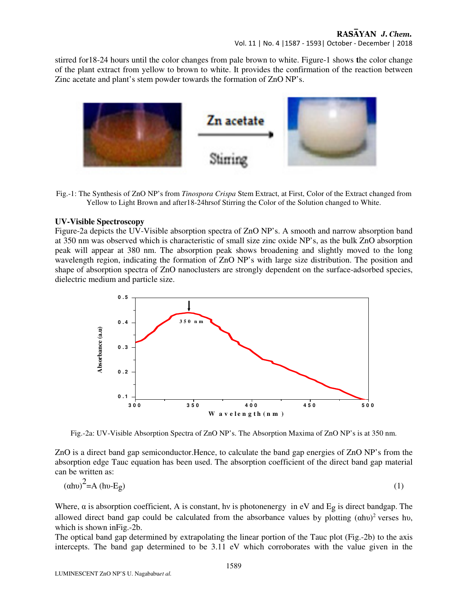## RASAYAN J. Chem.

Vol. 11 | No. 4 |1587 - 1593| October - December | 2018

stirred for18-24 hours until the color changes from pale brown to white. Figure-1 shows **t**he color change of the plant extract from yellow to brown to white. It provides the confirmation of the reaction between Zinc acetate and plant's stem powder towards the formation of ZnO NP's.



Fig.-1: The Synthesis of ZnO NP's from *Tinospora Crispa* Stem Extract, at First, Color of the Extract changed from Yellow to Light Brown and after18-24hrsof Stirring the Color of the Solution changed to White.

#### **UV-Visible Spectroscopy**

Figure-2a depicts the UV-Visible absorption spectra of ZnO NP's. A smooth and narrow absorption band at 350 nm was observed which is characteristic of small size zinc oxide NP's, as the bulk ZnO absorption peak will appear at 380 nm. The absorption peak shows broadening and slightly moved to the long wavelength region, indicating the formation of ZnO NP's with large size distribution. The position and shape of absorption spectra of ZnO nanoclusters are strongly dependent on the surface-adsorbed species, dielectric medium and particle size.



Fig.-2a: UV-Visible Absorption Spectra of ZnO NP's. The Absorption Maxima of ZnO NP's is at 350 nm.

ZnO is a direct band gap semiconductor.Hence, to calculate the band gap energies of ZnO NP's from the absorption edge Tauc equation has been used. The absorption coefficient of the direct band gap material can be written as:

$$
(\alpha \text{hv})^2 = \text{A (hv-Eg)}\tag{1}
$$

Where,  $\alpha$  is absorption coefficient, A is constant, hv is photonenergy in eV and Eg is direct bandgap. The allowed direct band gap could be calculated from the absorbance values by plotting  $(\alpha h\nu)^2$  verses hv, which is shown inFig.-2b.

The optical band gap determined by extrapolating the linear portion of the Tauc plot (Fig.-2b) to the axis intercepts. The band gap determined to be 3.11 eV which corroborates with the value given in the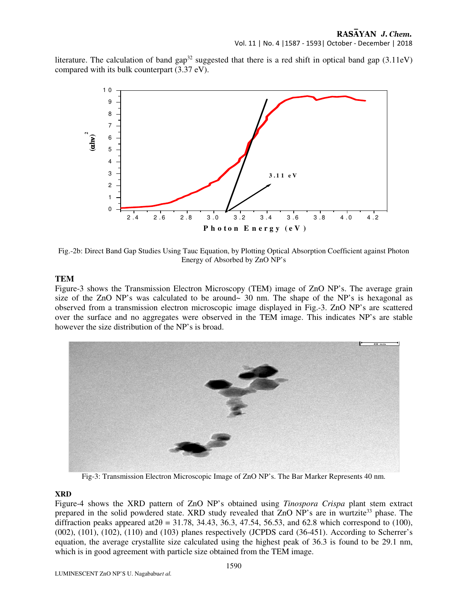Vol. 11 | No. 4 |1587 - 1593| October - December | 2018

literature. The calculation of band gap<sup>32</sup> suggested that there is a red shift in optical band gap  $(3.11eV)$ compared with its bulk counterpart (3.37 eV).



Fig.-2b: Direct Band Gap Studies Using Tauc Equation, by Plotting Optical Absorption Coefficient against Photon Energy of Absorbed by ZnO NP's

## **TEM**

Figure-3 shows the Transmission Electron Microscopy (TEM) image of ZnO NP's. The average grain size of the ZnO NP's was calculated to be around~ 30 nm. The shape of the NP's is hexagonal as observed from a transmission electron microscopic image displayed in Fig.-3. ZnO NP's are scattered over the surface and no aggregates were observed in the TEM image. This indicates NP's are stable however the size distribution of the NP's is broad.



Fig-3: Transmission Electron Microscopic Image of ZnO NP's. The Bar Marker Represents 40 nm.

## **XRD**

Figure-4 shows the XRD pattern of ZnO NP's obtained using *Tinospora Crispa* plant stem extract prepared in the solid powdered state. XRD study revealed that ZnO NP's are in wurtzite<sup>33</sup> phase. The diffraction peaks appeared at  $2\theta = 31.78$ , 34.43, 36.3, 47.54, 56.53, and 62.8 which correspond to (100), (002), (101), (102), (110) and (103) planes respectively (JCPDS card (36-451). According to Scherrer's equation, the average crystallite size calculated using the highest peak of 36.3 is found to be 29.1 nm, which is in good agreement with particle size obtained from the TEM image.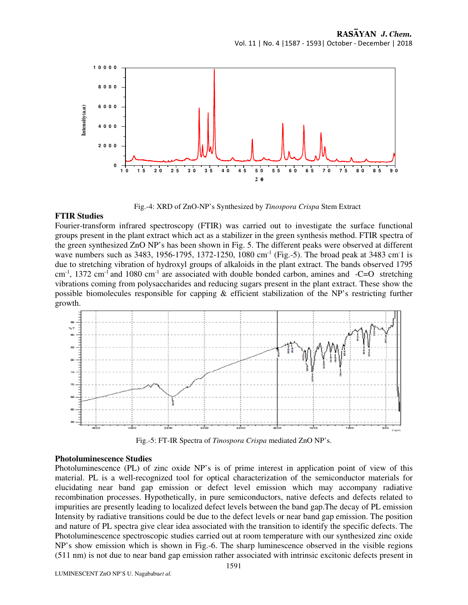

Fig.-4: XRD of ZnO-NP's Synthesized by *Tinospora Crispa* Stem Extract

### **FTIR Studies**

Fourier-transform infrared spectroscopy (FTIR) was carried out to investigate the surface functional groups present in the plant extract which act as a stabilizer in the green synthesis method. FTIR spectra of the green synthesized ZnO NP's has been shown in Fig. 5. The different peaks were observed at different wave numbers such as 3483, 1956-1795, 1372-1250, 1080 cm<sup>-1</sup> (Fig.-5). The broad peak at 3483 cm<sup>-1</sup> is due to stretching vibration of hydroxyl groups of alkaloids in the plant extract. The bands observed 1795  $cm<sup>-1</sup>$ , 1372 cm<sup>-1</sup> and 1080 cm<sup>-1</sup> are associated with double bonded carbon, amines and  $-C=O$  stretching vibrations coming from polysaccharides and reducing sugars present in the plant extract. These show the possible biomolecules responsible for capping & efficient stabilization of the NP's restricting further growth.



Fig.-5: FT-IR Spectra of *Tinospora Crispa* mediated ZnO NP's.

#### **Photoluminescence Studies**

Photoluminescence (PL) of zinc oxide NP's is of prime interest in application point of view of this material. PL is a well-recognized tool for optical characterization of the semiconductor materials for elucidating near band gap emission or defect level emission which may accompany radiative recombination processes. Hypothetically, in pure semiconductors, native defects and defects related to impurities are presently leading to localized defect levels between the band gap.The decay of PL emission Intensity by radiative transitions could be due to the defect levels or near band gap emission. The position and nature of PL spectra give clear idea associated with the transition to identify the specific defects. The Photoluminescence spectroscopic studies carried out at room temperature with our synthesized zinc oxide NP's show emission which is shown in Fig.-6. The sharp luminescence observed in the visible regions (511 nm) is not due to near band gap emission rather associated with intrinsic excitonic defects present in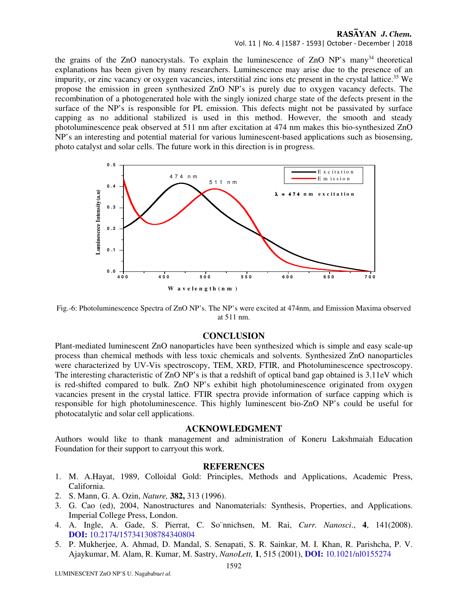## RASAYAN J. Chem.

Vol. 11 | No. 4 |1587 - 1593| October - December | 2018

the grains of the ZnO nanocrystals. To explain the luminescence of ZnO  $NP$ 's many<sup>34</sup> theoretical explanations has been given by many researchers. Luminescence may arise due to the presence of an impurity, or zinc vacancy or oxygen vacancies, interstitial zinc ions etc present in the crystal lattice.<sup>35</sup> We propose the emission in green synthesized ZnO NP's is purely due to oxygen vacancy defects. The recombination of a photogenerated hole with the singly ionized charge state of the defects present in the surface of the NP's is responsible for PL emission. This defects might not be passivated by surface capping as no additional stabilized is used in this method. However, the smooth and steady photoluminescence peak observed at 511 nm after excitation at 474 nm makes this bio-synthesized ZnO NP's an interesting and potential material for various luminescent-based applications such as biosensing, photo catalyst and solar cells. The future work in this direction is in progress.



Fig.-6: Photoluminescence Spectra of ZnO NP's. The NP's were excited at 474nm, and Emission Maxima observed at 511 nm.

### **CONCLUSION**

Plant-mediated luminescent ZnO nanoparticles have been synthesized which is simple and easy scale-up process than chemical methods with less toxic chemicals and solvents. Synthesized ZnO nanoparticles were characterized by UV-Vis spectroscopy, TEM, XRD, FTIR, and Photoluminescence spectroscopy. The interesting characteristic of ZnO NP's is that a redshift of optical band gap obtained is 3.11eV which is red-shifted compared to bulk. ZnO NP's exhibit high photoluminescence originated from oxygen vacancies present in the crystal lattice. FTIR spectra provide information of surface capping which is responsible for high photoluminescence. This highly luminescent bio-ZnO NP's could be useful for photocatalytic and solar cell applications.

#### **ACKNOWLEDGMENT**

Authors would like to thank management and administration of Koneru Lakshmaiah Education Foundation for their support to carryout this work.

### **REFERENCES**

- 1. M. A.Hayat, 1989, Colloidal Gold: Principles, Methods and Applications, Academic Press, California.
- 2. S. Mann, G. A. Ozin, *Nature,* **382,** 313 (1996).
- 3. G. Cao (ed), 2004, Nanostructures and Nanomaterials: Synthesis, Properties, and Applications. Imperial College Press, London.
- 4. A. Ingle, A. Gade, S. Pierrat, C. So¨nnichsen, M. Rai, *Curr. Nanosci*., **4**, 141(2008). **DOI:** 10.2174/157341308784340804
- 5. P. Mukherjee, A. Ahmad, D. Mandal, S. Senapati, S. R. Sainkar, M. I. Khan, R. Parishcha, P. V. Ajaykumar, M. Alam, R. Kumar, M. Sastry, *NanoLett,* **1**, 515 (2001), **DOI:** 10.1021/nl0155274